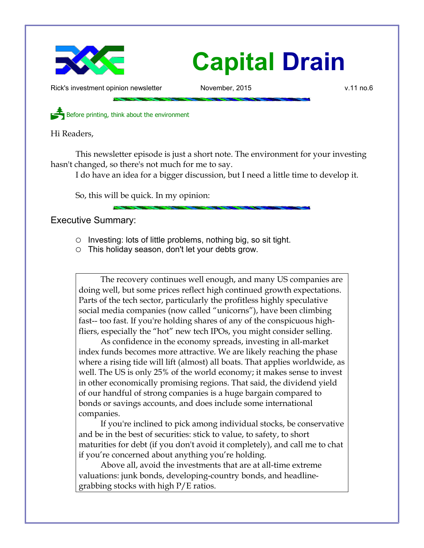

## **Capital Drain**

Rick's investment opinion newsletter The November, 2015 **but a state of the Convention Convention** v.11 no.6

Before printing, think about the environment

Hi Readers,

This newsletter episode is just a short note. The environment for your investing hasn't changed, so there's not much for me to say.

I do have an idea for a bigger discussion, but I need a little time to develop it.

So, this will be quick. In my opinion:

## Executive Summary:

- Investing: lots of little problems, nothing big, so sit tight.
- This holiday season, don't let your debts grow.

The recovery continues well enough, and many US companies are doing well, but some prices reflect high continued growth expectations. Parts of the tech sector, particularly the profitless highly speculative social media companies (now called "unicorns"), have been climbing fast-- too fast. If you're holding shares of any of the conspicuous highfliers, especially the "hot" new tech IPOs, you might consider selling.

As confidence in the economy spreads, investing in all-market index funds becomes more attractive. We are likely reaching the phase where a rising tide will lift (almost) all boats. That applies worldwide, as well. The US is only 25% of the world economy; it makes sense to invest in other economically promising regions. That said, the dividend yield of our handful of strong companies is a huge bargain compared to bonds or savings accounts, and does include some international companies.

If you're inclined to pick among individual stocks, be conservative and be in the best of securities: stick to value, to safety, to short maturities for debt (if you don't avoid it completely), and call me to chat if you're concerned about anything you're holding.

Above all, avoid the investments that are at all-time extreme valuations: junk bonds, developing-country bonds, and headlinegrabbing stocks with high P/E ratios.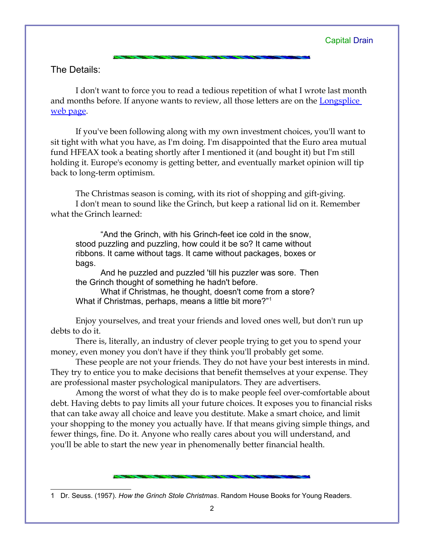The Details:

I don't want to force you to read a tedious repetition of what I wrote last month and months before. If anyone wants to review, all those letters are on the Longsplice [web page.](http://www.longspliceinvest.com/newsletter.shtml)

If you've been following along with my own investment choices, you'll want to sit tight with what you have, as I'm doing. I'm disappointed that the Euro area mutual fund HFEAX took a beating shortly after I mentioned it (and bought it) but I'm still holding it. Europe's economy is getting better, and eventually market opinion will tip back to long-term optimism.

The Christmas season is coming, with its riot of shopping and gift-giving. I don't mean to sound like the Grinch, but keep a rational lid on it. Remember what the Grinch learned:

"And the Grinch, with his Grinch-feet ice cold in the snow, stood puzzling and puzzling, how could it be so? It came without ribbons. It came without tags. It came without packages, boxes or bags.

And he puzzled and puzzled 'till his puzzler was sore. Then the Grinch thought of something he hadn't before.

What if Christmas, he thought, doesn't come from a store? What if Christmas, perhaps, means a little bit more?"[1](#page-1-0)

Enjoy yourselves, and treat your friends and loved ones well, but don't run up debts to do it.

There is, literally, an industry of clever people trying to get you to spend your money, even money you don't have if they think you'll probably get some.

These people are not your friends. They do not have your best interests in mind. They try to entice you to make decisions that benefit themselves at your expense. They are professional master psychological manipulators. They are advertisers.

Among the worst of what they do is to make people feel over-comfortable about debt. Having debts to pay limits all your future choices. It exposes you to financial risks that can take away all choice and leave you destitute. Make a smart choice, and limit your shopping to the money you actually have. If that means giving simple things, and fewer things, fine. Do it. Anyone who really cares about you will understand, and you'll be able to start the new year in phenomenally better financial health.

<span id="page-1-0"></span><sup>1</sup> Dr. Seuss. (1957). *How the Grinch Stole Christmas*. Random House Books for Young Readers.